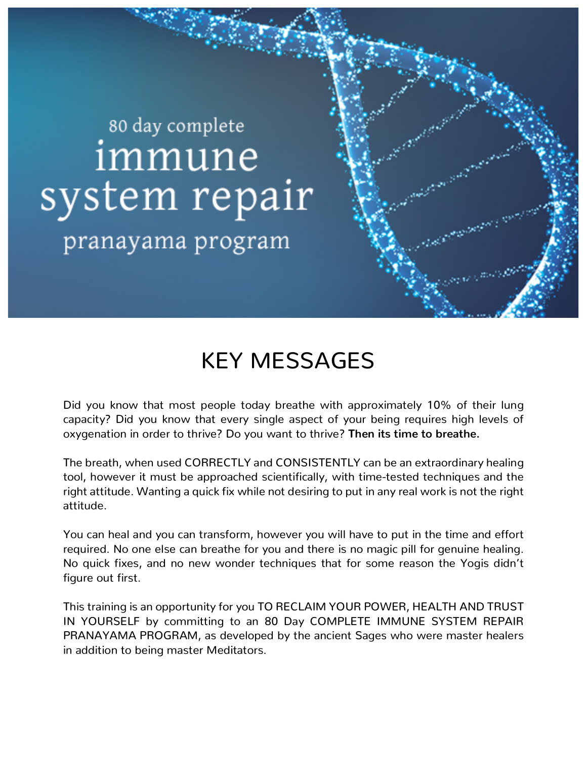## 80 day complete immune system repair

pranayama program

## KEY MESSAGES

Did you know that most people today breathe with approximately 10% of their lung capacity? Did you know that every single aspect of your being requires high levels of oxygenation in order to thrive? Do you want to thrive? **Then its time to breathe.**

The breath, when used CORRECTLY and CONSISTENTLY can be an extraordinary healing tool, however it must be approached scientifically, with time-tested techniques and the right attitude. Wanting a quick fix while not desiring to put in any real work is not the right attitude.

You can heal and you can transform, however you will have to put in the time and effort required. No one else can breathe for you and there is no magic pill for genuine healing. No quick fixes, and no new wonder techniques that for some reason the Yogis didn't figure out first.

This training is an opportunity for you TO RECLAIM YOUR POWER, HEALTH AND TRUST IN YOURSELF by committing to an 80 Day COMPLETE IMMUNE SYSTEM REPAIR PRANAYAMA PROGRAM, as developed by the ancient Sages who were master healers in addition to being master Meditators.